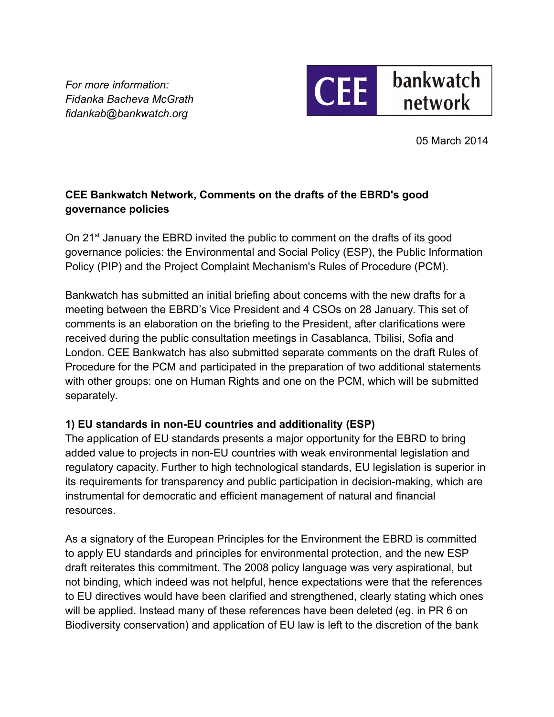*For more information: Fidanka Bacheva McGrath fidankab@bankwatch.org*



05 March 2014

# **CEE Bankwatch Network, Comments on the drafts of the EBRD's good governance policies**

On 21<sup>st</sup> January the EBRD invited the public to comment on the drafts of its good governance policies: the Environmental and Social Policy (ESP), the Public Information Policy (PIP) and the Project Complaint Mechanism's Rules of Procedure (PCM).

Bankwatch has submitted an initial briefing about concerns with the new drafts for a meeting between the EBRD's Vice President and 4 CSOs on 28 January. This set of comments is an elaboration on the briefing to the President, after clarifications were received during the public consultation meetings in Casablanca, Tbilisi, Sofia and London. CEE Bankwatch has also submitted separate comments on the draft Rules of Procedure for the PCM and participated in the preparation of two additional statements with other groups: one on Human Rights and one on the PCM, which will be submitted separately.

## **1) EU standards in non-EU countries and additionality (ESP)**

The application of EU standards presents a major opportunity for the EBRD to bring added value to projects in non-EU countries with weak environmental legislation and regulatory capacity. Further to high technological standards, EU legislation is superior in its requirements for transparency and public participation in decision-making, which are instrumental for democratic and efficient management of natural and financial resources.

As a signatory of the European Principles for the Environment the EBRD is committed to apply EU standards and principles for environmental protection, and the new ESP draft reiterates this commitment. The 2008 policy language was very aspirational, but not binding, which indeed was not helpful, hence expectations were that the references to EU directives would have been clarified and strengthened, clearly stating which ones will be applied. Instead many of these references have been deleted (eg. in PR 6 on Biodiversity conservation) and application of EU law is left to the discretion of the bank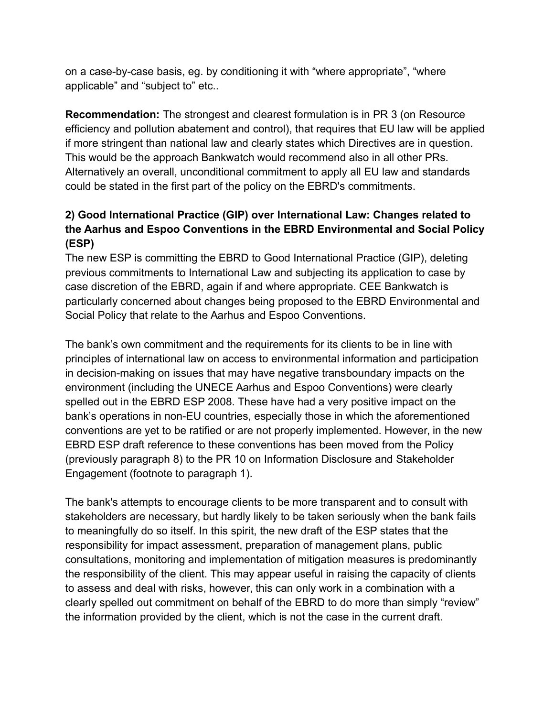on a case-by-case basis, eg. by conditioning it with "where appropriate", "where applicable" and "subject to" etc..

**Recommendation:** The strongest and clearest formulation is in PR 3 (on Resource efficiency and pollution abatement and control), that requires that EU law will be applied if more stringent than national law and clearly states which Directives are in question. This would be the approach Bankwatch would recommend also in all other PRs. Alternatively an overall, unconditional commitment to apply all EU law and standards could be stated in the first part of the policy on the EBRD's commitments.

## **2) Good International Practice (GIP) over International Law: Changes related to the Aarhus and Espoo Conventions in the EBRD Environmental and Social Policy (ESP)**

The new ESP is committing the EBRD to Good International Practice (GIP), deleting previous commitments to International Law and subjecting its application to case by case discretion of the EBRD, again if and where appropriate. CEE Bankwatch is particularly concerned about changes being proposed to the EBRD Environmental and Social Policy that relate to the Aarhus and Espoo Conventions.

The bank's own commitment and the requirements for its clients to be in line with principles of international law on access to environmental information and participation in decision-making on issues that may have negative transboundary impacts on the environment (including the UNECE Aarhus and Espoo Conventions) were clearly spelled out in the EBRD ESP 2008. These have had a very positive impact on the bank's operations in non-EU countries, especially those in which the aforementioned conventions are yet to be ratified or are not properly implemented. However, in the new EBRD ESP draft reference to these conventions has been moved from the Policy (previously paragraph 8) to the PR 10 on Information Disclosure and Stakeholder Engagement (footnote to paragraph 1).

The bank's attempts to encourage clients to be more transparent and to consult with stakeholders are necessary, but hardly likely to be taken seriously when the bank fails to meaningfully do so itself. In this spirit, the new draft of the ESP states that the responsibility for impact assessment, preparation of management plans, public consultations, monitoring and implementation of mitigation measures is predominantly the responsibility of the client. This may appear useful in raising the capacity of clients to assess and deal with risks, however, this can only work in a combination with a clearly spelled out commitment on behalf of the EBRD to do more than simply "review" the information provided by the client, which is not the case in the current draft.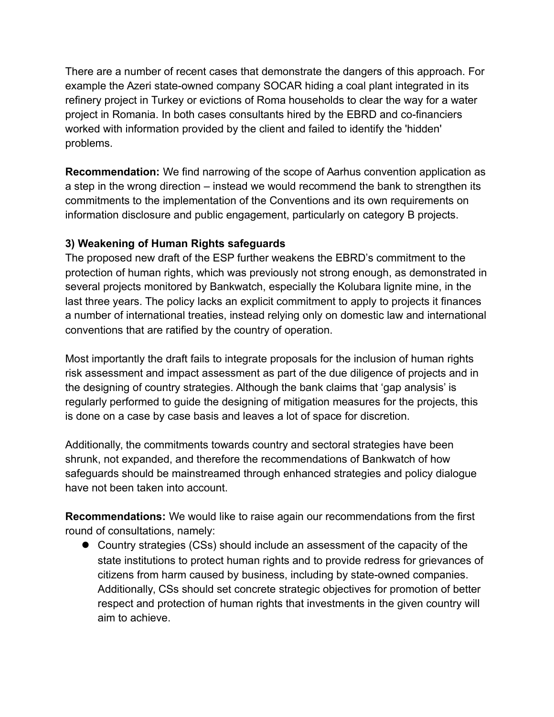There are a number of recent cases that demonstrate the dangers of this approach. For example the Azeri state-owned company SOCAR hiding a coal plant integrated in its refinery project in Turkey or evictions of Roma households to clear the way for a water project in Romania. In both cases consultants hired by the EBRD and co-financiers worked with information provided by the client and failed to identify the 'hidden' problems.

**Recommendation:** We find narrowing of the scope of Aarhus convention application as a step in the wrong direction – instead we would recommend the bank to strengthen its commitments to the implementation of the Conventions and its own requirements on information disclosure and public engagement, particularly on category B projects.

### **3) Weakening of Human Rights safeguards**

The proposed new draft of the ESP further weakens the EBRD's commitment to the protection of human rights, which was previously not strong enough, as demonstrated in several projects monitored by Bankwatch, especially the Kolubara lignite mine, in the last three years. The policy lacks an explicit commitment to apply to projects it finances a number of international treaties, instead relying only on domestic law and international conventions that are ratified by the country of operation.

Most importantly the draft fails to integrate proposals for the inclusion of human rights risk assessment and impact assessment as part of the due diligence of projects and in the designing of country strategies. Although the bank claims that 'gap analysis' is regularly performed to guide the designing of mitigation measures for the projects, this is done on a case by case basis and leaves a lot of space for discretion.

Additionally, the commitments towards country and sectoral strategies have been shrunk, not expanded, and therefore the recommendations of Bankwatch of how safeguards should be mainstreamed through enhanced strategies and policy dialogue have not been taken into account.

**Recommendations:** We would like to raise again our recommendations from the first round of consultations, namely:

 Country strategies (CSs) should include an assessment of the capacity of the state institutions to protect human rights and to provide redress for grievances of citizens from harm caused by business, including by state-owned companies. Additionally, CSs should set concrete strategic objectives for promotion of better respect and protection of human rights that investments in the given country will aim to achieve.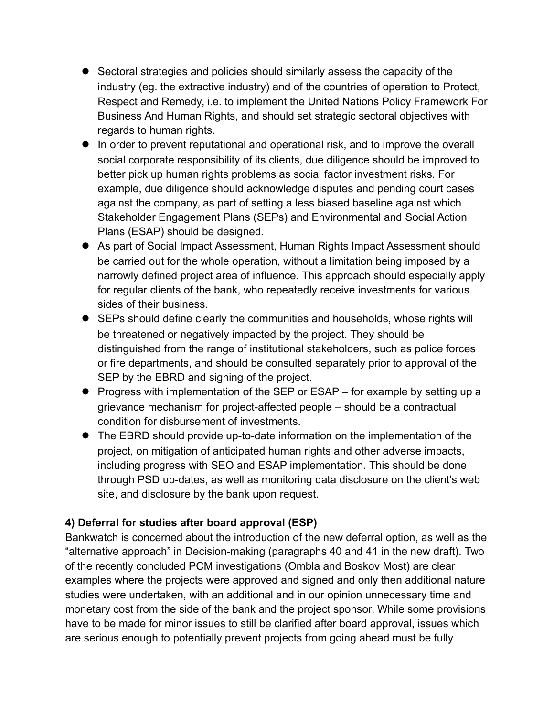- Sectoral strategies and policies should similarly assess the capacity of the industry (eg. the extractive industry) and of the countries of operation to Protect, Respect and Remedy, i.e. to implement the United Nations Policy Framework For Business And Human Rights, and should set strategic sectoral objectives with regards to human rights.
- In order to prevent reputational and operational risk, and to improve the overall social corporate responsibility of its clients, due diligence should be improved to better pick up human rights problems as social factor investment risks. For example, due diligence should acknowledge disputes and pending court cases against the company, as part of setting a less biased baseline against which Stakeholder Engagement Plans (SEPs) and Environmental and Social Action Plans (ESAP) should be designed.
- As part of Social Impact Assessment, Human Rights Impact Assessment should be carried out for the whole operation, without a limitation being imposed by a narrowly defined project area of influence. This approach should especially apply for regular clients of the bank, who repeatedly receive investments for various sides of their business.
- SEPs should define clearly the communities and households, whose rights will be threatened or negatively impacted by the project. They should be distinguished from the range of institutional stakeholders, such as police forces or fire departments, and should be consulted separately prior to approval of the SEP by the EBRD and signing of the project.
- Progress with implementation of the SEP or ESAP for example by setting up a grievance mechanism for project-affected people – should be a contractual condition for disbursement of investments.
- The EBRD should provide up-to-date information on the implementation of the project, on mitigation of anticipated human rights and other adverse impacts, including progress with SEO and ESAP implementation. This should be done through PSD up-dates, as well as monitoring data disclosure on the client's web site, and disclosure by the bank upon request.

## **4) Deferral for studies after board approval (ESP)**

Bankwatch is concerned about the introduction of the new deferral option, as well as the "alternative approach" in Decision-making (paragraphs 40 and 41 in the new draft). Two of the recently concluded PCM investigations (Ombla and Boskov Most) are clear examples where the projects were approved and signed and only then additional nature studies were undertaken, with an additional and in our opinion unnecessary time and monetary cost from the side of the bank and the project sponsor. While some provisions have to be made for minor issues to still be clarified after board approval, issues which are serious enough to potentially prevent projects from going ahead must be fully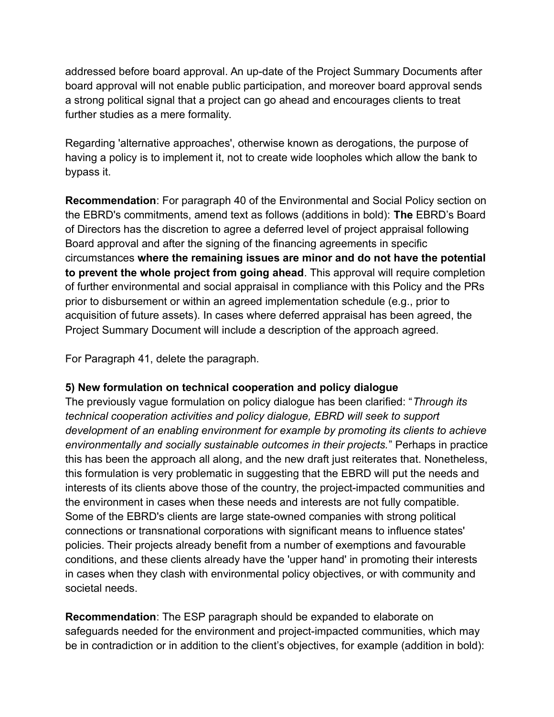addressed before board approval. An up-date of the Project Summary Documents after board approval will not enable public participation, and moreover board approval sends a strong political signal that a project can go ahead and encourages clients to treat further studies as a mere formality.

Regarding 'alternative approaches', otherwise known as derogations, the purpose of having a policy is to implement it, not to create wide loopholes which allow the bank to bypass it.

**Recommendation**: For paragraph 40 of the Environmental and Social Policy section on the EBRD's commitments, amend text as follows (additions in bold): **The** EBRD's Board of Directors has the discretion to agree a deferred level of project appraisal following Board approval and after the signing of the financing agreements in specific circumstances **where the remaining issues are minor and do not have the potential to prevent the whole project from going ahead**. This approval will require completion of further environmental and social appraisal in compliance with this Policy and the PRs prior to disbursement or within an agreed implementation schedule (e.g., prior to acquisition of future assets). In cases where deferred appraisal has been agreed, the Project Summary Document will include a description of the approach agreed.

For Paragraph 41, delete the paragraph.

#### **5) New formulation on technical cooperation and policy dialogue**

The previously vague formulation on policy dialogue has been clarified: "*Through its technical cooperation activities and policy dialogue, EBRD will seek to support development of an enabling environment for example by promoting its clients to achieve environmentally and socially sustainable outcomes in their projects.*" Perhaps in practice this has been the approach all along, and the new draft just reiterates that. Nonetheless, this formulation is very problematic in suggesting that the EBRD will put the needs and interests of its clients above those of the country, the project-impacted communities and the environment in cases when these needs and interests are not fully compatible. Some of the EBRD's clients are large state-owned companies with strong political connections or transnational corporations with significant means to influence states' policies. Their projects already benefit from a number of exemptions and favourable conditions, and these clients already have the 'upper hand' in promoting their interests in cases when they clash with environmental policy objectives, or with community and societal needs.

**Recommendation**: The ESP paragraph should be expanded to elaborate on safeguards needed for the environment and project-impacted communities, which may be in contradiction or in addition to the client's objectives, for example (addition in bold):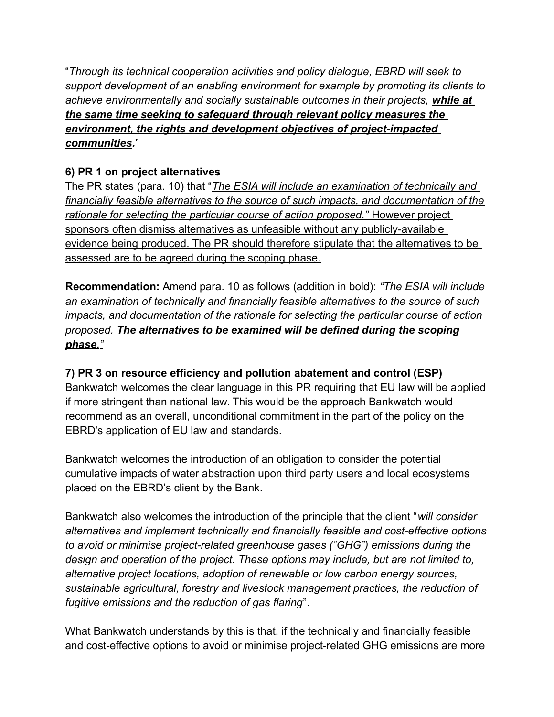"*Through its technical cooperation activities and policy dialogue, EBRD will seek to support development of an enabling environment for example by promoting its clients to achieve environmentally and socially sustainable outcomes in their projects, while at the same time seeking to safeguard through relevant policy measures the environment, the rights and development objectives of project-impacted communities.*"

# **6) PR 1 on project alternatives**

The PR states (para. 10) that "*The ESIA will include an examination of technically and financially feasible alternatives to the source of such impacts, and documentation of the rationale for selecting the particular course of action proposed."* However project sponsors often dismiss alternatives as unfeasible without any publicly-available evidence being produced. The PR should therefore stipulate that the alternatives to be assessed are to be agreed during the scoping phase.

**Recommendation:** Amend para. 10 as follows (addition in bold): *"The ESIA will include an examination of technically and financially feasible alternatives to the source of such impacts, and documentation of the rationale for selecting the particular course of action proposed. The alternatives to be examined will be defined during the scoping phase."*

## **7) PR 3 on resource efficiency and pollution abatement and control (ESP)**

Bankwatch welcomes the clear language in this PR requiring that EU law will be applied if more stringent than national law. This would be the approach Bankwatch would recommend as an overall, unconditional commitment in the part of the policy on the EBRD's application of EU law and standards.

Bankwatch welcomes the introduction of an obligation to consider the potential cumulative impacts of water abstraction upon third party users and local ecosystems placed on the EBRD's client by the Bank.

Bankwatch also welcomes the introduction of the principle that the client "*will consider alternatives and implement technically and financially feasible and cost-effective options to avoid or minimise project-related greenhouse gases ("GHG") emissions during the design and operation of the project. These options may include, but are not limited to, alternative project locations, adoption of renewable or low carbon energy sources, sustainable agricultural, forestry and livestock management practices, the reduction of fugitive emissions and the reduction of gas flaring*".

What Bankwatch understands by this is that, if the technically and financially feasible and cost-effective options to avoid or minimise project-related GHG emissions are more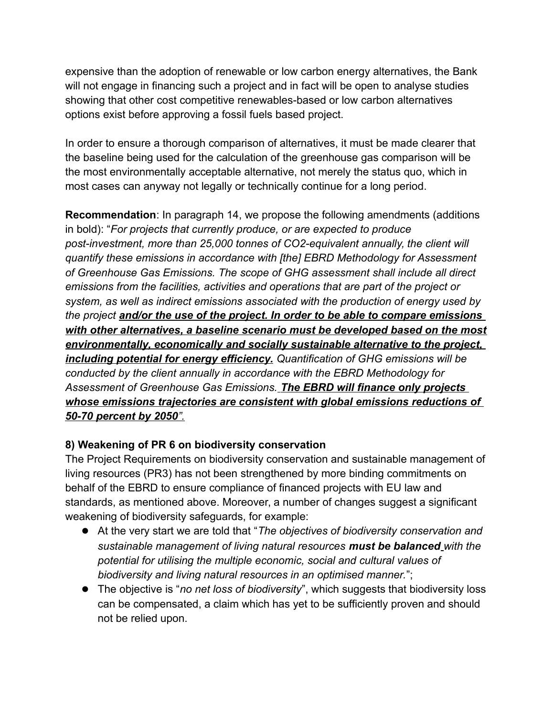expensive than the adoption of renewable or low carbon energy alternatives, the Bank will not engage in financing such a project and in fact will be open to analyse studies showing that other cost competitive renewables-based or low carbon alternatives options exist before approving a fossil fuels based project.

In order to ensure a thorough comparison of alternatives, it must be made clearer that the baseline being used for the calculation of the greenhouse gas comparison will be the most environmentally acceptable alternative, not merely the status quo, which in most cases can anyway not legally or technically continue for a long period.

**Recommendation**: In paragraph 14, we propose the following amendments (additions in bold): "*For projects that currently produce, or are expected to produce post-investment, more than 25,000 tonnes of CO2-equivalent annually, the client will quantify these emissions in accordance with [the] EBRD Methodology for Assessment of Greenhouse Gas Emissions. The scope of GHG assessment shall include all direct emissions from the facilities, activities and operations that are part of the project or system, as well as indirect emissions associated with the production of energy used by the project and/or the use of the project. In order to be able to compare emissions with other alternatives, a baseline scenario must be developed based on the most environmentally, economically and socially sustainable alternative to the project, including potential for energy efficiency. Quantification of GHG emissions will be conducted by the client annually in accordance with the EBRD Methodology for Assessment of Greenhouse Gas Emissions. The EBRD will finance only projects whose emissions trajectories are consistent with global emissions reductions of 50-70 percent by 2050".*

## **8) Weakening of PR 6 on biodiversity conservation**

The Project Requirements on biodiversity conservation and sustainable management of living resources (PR3) has not been strengthened by more binding commitments on behalf of the EBRD to ensure compliance of financed projects with EU law and standards, as mentioned above. Moreover, a number of changes suggest a significant weakening of biodiversity safeguards, for example:

- At the very start we are told that "*The objectives of biodiversity conservation and sustainable management of living natural resources must be balanced with the potential for utilising the multiple economic, social and cultural values of biodiversity and living natural resources in an optimised manner.*";
- The objective is "*no net loss of biodiversity*", which suggests that biodiversity loss can be compensated, a claim which has yet to be sufficiently proven and should not be relied upon.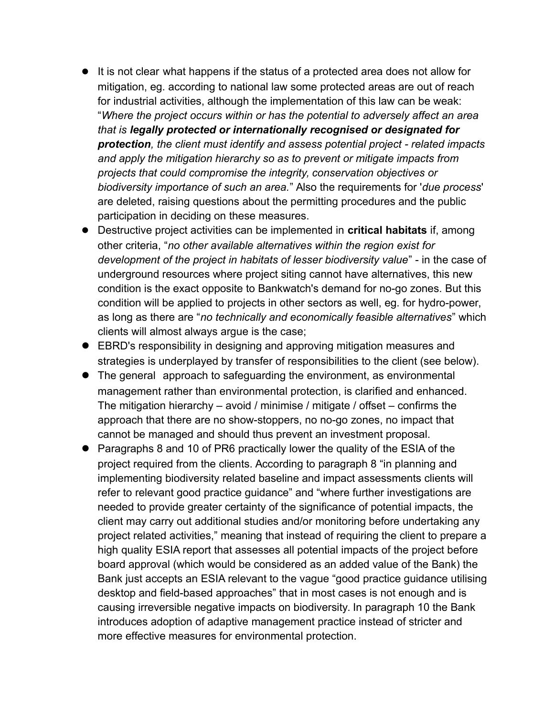- It is not clear what happens if the status of a protected area does not allow for mitigation, eg. according to national law some protected areas are out of reach for industrial activities, although the implementation of this law can be weak: "*Where the project occurs within or has the potential to adversely affect an area that is legally protected or internationally recognised or designated for protection, the client must identify and assess potential project - related impacts and apply the mitigation hierarchy so as to prevent or mitigate impacts from projects that could compromise the integrity, conservation objectives or biodiversity importance of such an area.*" Also the requirements for '*due process*' are deleted, raising questions about the permitting procedures and the public participation in deciding on these measures.
- Destructive project activities can be implemented in **critical habitats** if, among other criteria, "*no other available alternatives within the region exist for development of the project in habitats of lesser biodiversity value*" - in the case of underground resources where project siting cannot have alternatives, this new condition is the exact opposite to Bankwatch's demand for no-go zones. But this condition will be applied to projects in other sectors as well, eg. for hydro-power, as long as there are "*no technically and economically feasible alternatives*" which clients will almost always argue is the case;
- EBRD's responsibility in designing and approving mitigation measures and strategies is underplayed by transfer of responsibilities to the client (see below).
- The general approach to safeguarding the environment, as environmental management rather than environmental protection, is clarified and enhanced. The mitigation hierarchy – avoid / minimise / mitigate / offset – confirms the approach that there are no show-stoppers, no no-go zones, no impact that cannot be managed and should thus prevent an investment proposal.
- Paragraphs 8 and 10 of PR6 practically lower the quality of the ESIA of the project required from the clients. According to paragraph 8 "in planning and implementing biodiversity related baseline and impact assessments clients will refer to relevant good practice guidance" and "where further investigations are needed to provide greater certainty of the significance of potential impacts, the client may carry out additional studies and/or monitoring before undertaking any project related activities," meaning that instead of requiring the client to prepare a high quality ESIA report that assesses all potential impacts of the project before board approval (which would be considered as an added value of the Bank) the Bank just accepts an ESIA relevant to the vague "good practice guidance utilising desktop and field-based approaches" that in most cases is not enough and is causing irreversible negative impacts on biodiversity. In paragraph 10 the Bank introduces adoption of adaptive management practice instead of stricter and more effective measures for environmental protection.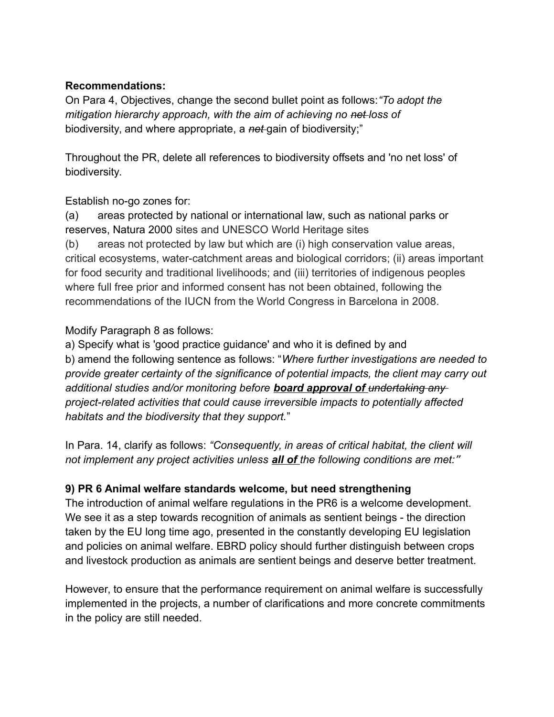#### **Recommendations:**

On Para 4, Objectives, change the second bullet point as follows:*"To adopt the mitigation hierarchy approach, with the aim of achieving no net loss of* biodiversity, and where appropriate, a *net* gain of biodiversity;"

Throughout the PR, delete all references to biodiversity offsets and 'no net loss' of biodiversity.

Establish no-go zones for:

(a) areas protected by national or international law, such as national parks or reserves, Natura 2000 sites and UNESCO World Heritage sites

(b) areas not protected by law but which are (i) high conservation value areas, critical ecosystems, water-catchment areas and biological corridors; (ii) areas important for food security and traditional livelihoods; and (iii) territories of indigenous peoples where full free prior and informed consent has not been obtained, following the recommendations of the IUCN from the World Congress in Barcelona in 2008.

#### Modify Paragraph 8 as follows:

a) Specify what is 'good practice guidance' and who it is defined by and b) amend the following sentence as follows: "*Where further investigations are needed to provide greater certainty of the significance of potential impacts, the client may carry out additional studies and/or monitoring before board approval of undertaking any project-related activities that could cause irreversible impacts to potentially affected habitats and the biodiversity that they support.*"

In Para. 14, clarify as follows: *"Consequently, in areas of critical habitat, the client will not implement any project activities unless all of the following conditions are met:*"

#### **9) PR 6 Animal welfare standards welcome, but need strengthening**

The introduction of animal welfare regulations in the PR6 is a welcome development. We see it as a step towards recognition of animals as sentient beings - the direction taken by the EU long time ago, presented in the constantly developing EU legislation and policies on animal welfare. EBRD policy should further distinguish between crops and livestock production as animals are sentient beings and deserve better treatment.

However, to ensure that the performance requirement on animal welfare is successfully implemented in the projects, a number of clarifications and more concrete commitments in the policy are still needed.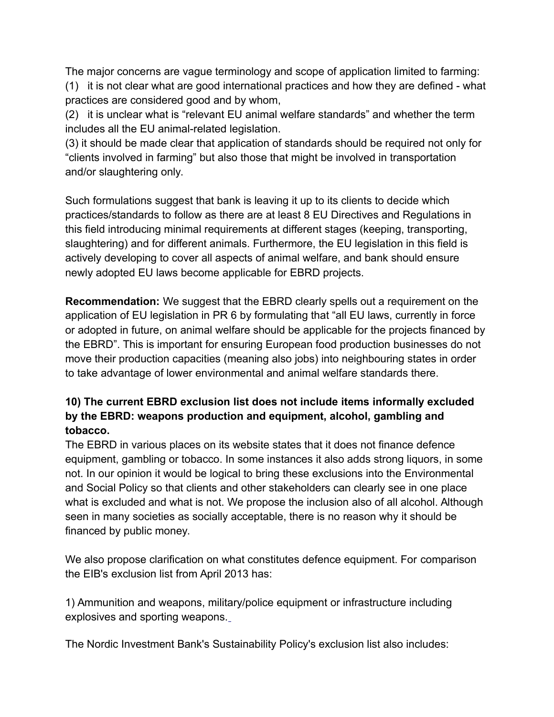The major concerns are vague terminology and scope of application limited to farming: (1) it is not clear what are good international practices and how they are defined - what practices are considered good and by whom,

(2) it is unclear what is "relevant EU animal welfare standards" and whether the term includes all the EU animal-related legislation.

(3) it should be made clear that application of standards should be required not only for "clients involved in farming" but also those that might be involved in transportation and/or slaughtering only.

Such formulations suggest that bank is leaving it up to its clients to decide which practices/standards to follow as there are at least 8 EU Directives and Regulations in this field introducing minimal requirements at different stages (keeping, transporting, slaughtering) and for different animals. Furthermore, the EU legislation in this field is actively developing to cover all aspects of animal welfare, and bank should ensure newly adopted EU laws become applicable for EBRD projects.

**Recommendation:** We suggest that the EBRD clearly spells out a requirement on the application of EU legislation in PR 6 by formulating that "all EU laws, currently in force or adopted in future, on animal welfare should be applicable for the projects financed by the EBRD". This is important for ensuring European food production businesses do not move their production capacities (meaning also jobs) into neighbouring states in order to take advantage of lower environmental and animal welfare standards there.

### **10) The current EBRD exclusion list does not include items informally excluded by the EBRD: weapons production and equipment, alcohol, gambling and tobacco.**

The EBRD in various places on its website states that it does not finance defence equipment, gambling or tobacco. In some instances it also adds strong liquors, in some not. In our opinion it would be logical to bring these exclusions into the Environmental and Social Policy so that clients and other stakeholders can clearly see in one place what is excluded and what is not. We propose the inclusion also of all alcohol. Although seen in many societies as socially acceptable, there is no reason why it should be financed by public money.

We also propose clarification on what constitutes defence equipment. For comparison the EIB's exclusion list from April 2013 has:

1) Ammunition and weapons, military/police equipment or infrastructure including explosives and sporting weapons.

The Nordic Investment Bank's Sustainability Policy's exclusion list also includes: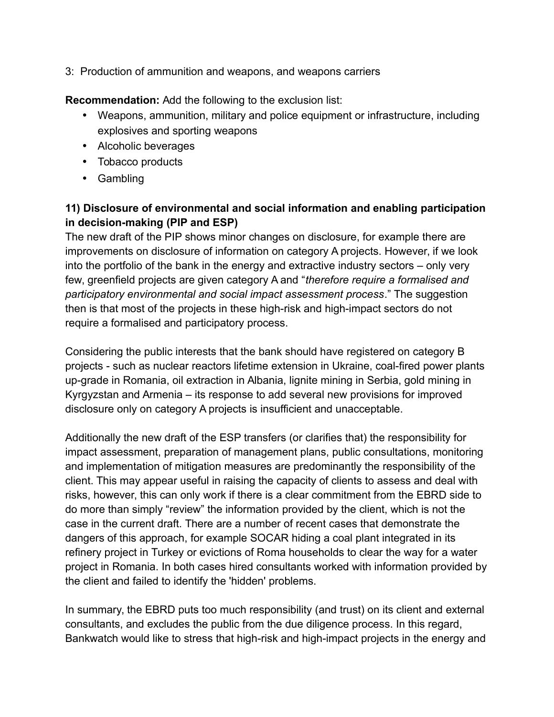3: Production of ammunition and weapons, and weapons carriers

**Recommendation:** Add the following to the exclusion list:

- Weapons, ammunition, military and police equipment or infrastructure, including explosives and sporting weapons
- Alcoholic beverages
- Tobacco products
- Gambling

# **11) Disclosure of environmental and social information and enabling participation in decision-making (PIP and ESP)**

The new draft of the PIP shows minor changes on disclosure, for example there are improvements on disclosure of information on category A projects. However, if we look into the portfolio of the bank in the energy and extractive industry sectors – only very few, greenfield projects are given category A and "*therefore require a formalised and participatory environmental and social impact assessment process*." The suggestion then is that most of the projects in these high-risk and high-impact sectors do not require a formalised and participatory process.

Considering the public interests that the bank should have registered on category B projects - such as nuclear reactors lifetime extension in Ukraine, coal-fired power plants up-grade in Romania, oil extraction in Albania, lignite mining in Serbia, gold mining in Kyrgyzstan and Armenia – its response to add several new provisions for improved disclosure only on category A projects is insufficient and unacceptable.

Additionally the new draft of the ESP transfers (or clarifies that) the responsibility for impact assessment, preparation of management plans, public consultations, monitoring and implementation of mitigation measures are predominantly the responsibility of the client. This may appear useful in raising the capacity of clients to assess and deal with risks, however, this can only work if there is a clear commitment from the EBRD side to do more than simply "review" the information provided by the client, which is not the case in the current draft. There are a number of recent cases that demonstrate the dangers of this approach, for example SOCAR hiding a coal plant integrated in its refinery project in Turkey or evictions of Roma households to clear the way for a water project in Romania. In both cases hired consultants worked with information provided by the client and failed to identify the 'hidden' problems.

In summary, the EBRD puts too much responsibility (and trust) on its client and external consultants, and excludes the public from the due diligence process. In this regard, Bankwatch would like to stress that high-risk and high-impact projects in the energy and